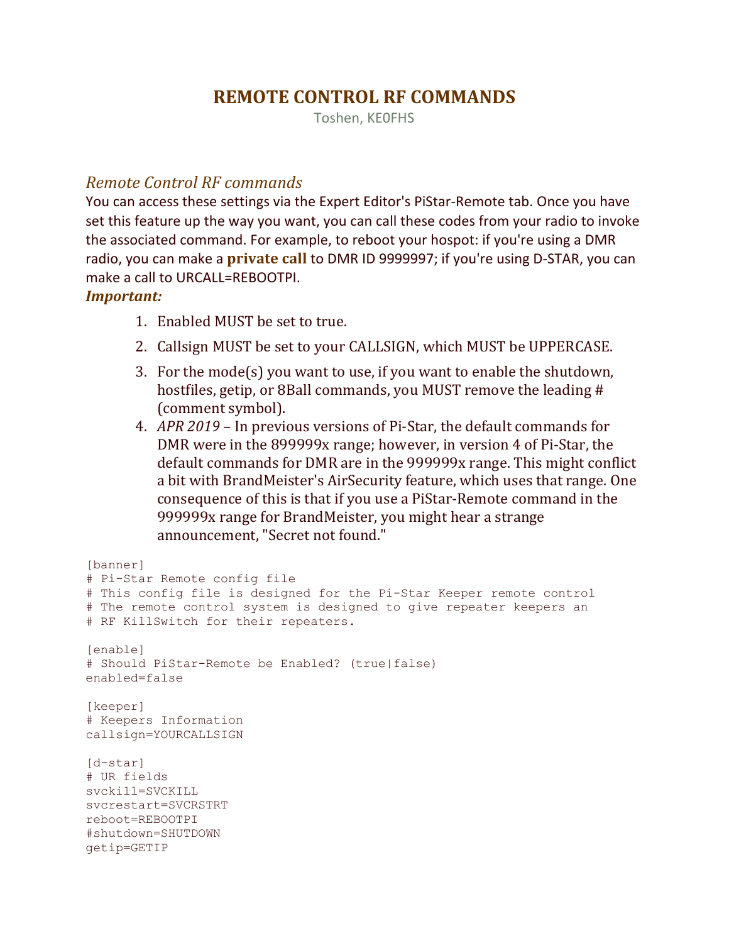## **REMOTE CONTROL RF COMMANDS**

Toshen, KE0FHS

## *Remote Control RF commands*

You can access these settings via the Expert Editor's PiStar-Remote tab. Once you have set this feature up the way you want, you can call these codes from your radio to invoke the associated command. For example, to reboot your hospot: if you're using a DMR radio, you can make a **private call** to DMR ID 9999997; if you're using D-STAR, you can make a call to URCALL=REBOOTPI.

## *Important:*

- 1. Enabled MUST be set to true.
- 2. Callsign MUST be set to your CALLSIGN, which MUST be UPPERCASE.
- 3. For the mode(s) you want to use, if you want to enable the shutdown, hostfiles, getip, or 8Ball commands, you MUST remove the leading # (comment symbol).
- 4. *APR 2019* In previous versions of Pi-Star, the default commands for DMR were in the 899999x range; however, in version 4 of Pi-Star, the default commands for DMR are in the 999999x range. This might conflict a bit with BrandMeister's AirSecurity feature, which uses that range. One consequence of this is that if you use a PiStar-Remote command in the 999999x range for BrandMeister, you might hear a strange announcement, "Secret not found."

```
[banner]
# Pi-Star Remote config file
# This config file is designed for the Pi-Star Keeper remote control
# The remote control system is designed to give repeater keepers an
# RF KillSwitch for their repeaters.
[enable]
# Should PiStar-Remote be Enabled? (true|false)
enabled=false
[keeper]
# Keepers Information
callsign=YOURCALLSIGN
[d-star]
# UR fields
svckill=SVCKILL
svcrestart=SVCRSTRT
reboot=REBOOTPI
#shutdown=SHUTDOWN
getip=GETIP
```